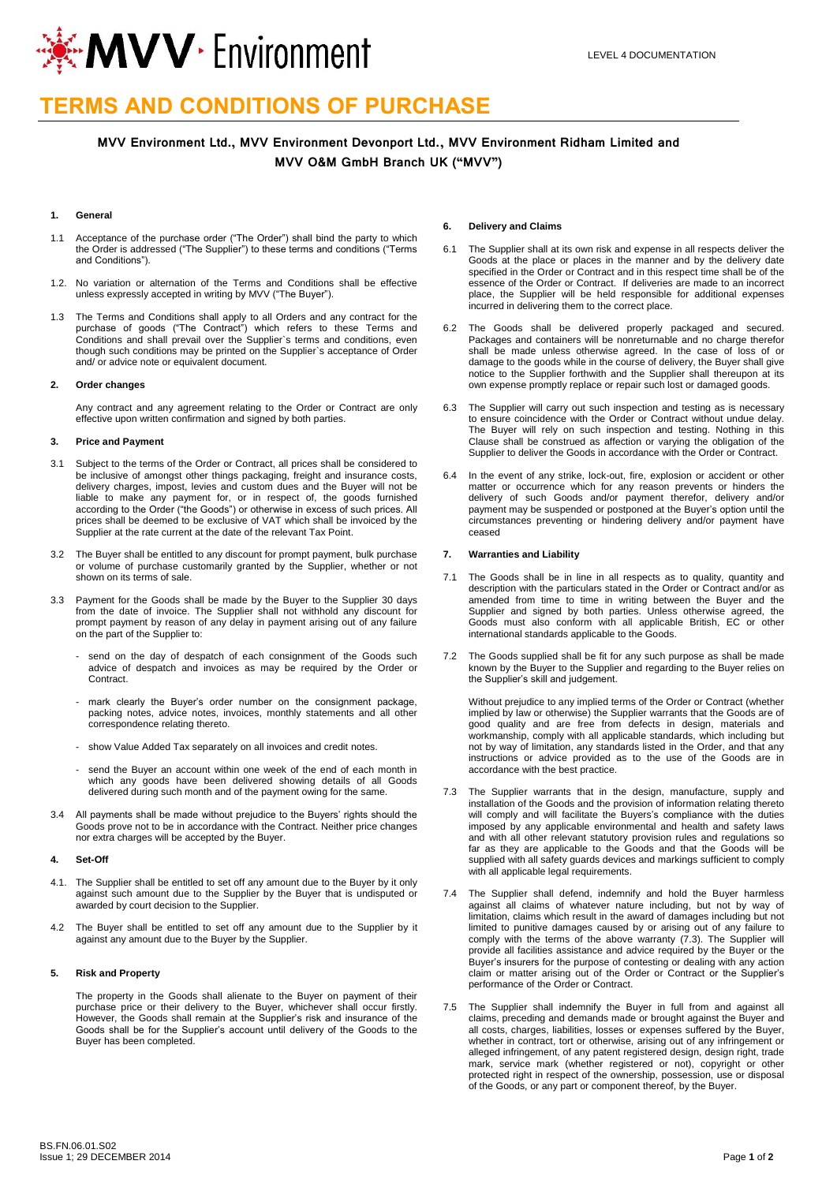

# **TERMS AND CONDITIONS OF PURCHASE**

# **MVV Environment Ltd., MVV Environment Devonport Ltd., MVV Environment Ridham Limited and MVV O&M GmbH Branch UK ("MVV")**

## **1. General**

- 1.1 Acceptance of the purchase order ("The Order") shall bind the party to which the Order is addressed ("The Supplier") to these terms and conditions ("Terms and Conditions").
- 1.2. No variation or alternation of the Terms and Conditions shall be effective unless expressly accepted in writing by MVV ("The Buyer").
- 1.3 The Terms and Conditions shall apply to all Orders and any contract for the purchase of goods ("The Contract") which refers to these Terms and Conditions and shall prevail over the Supplier`s terms and conditions, even though such conditions may be printed on the Supplier`s acceptance of Order and/ or advice note or equivalent document.

## **2. Order changes**

Any contract and any agreement relating to the Order or Contract are only effective upon written confirmation and signed by both parties.

#### **3. Price and Payment**

- 3.1 Subject to the terms of the Order or Contract, all prices shall be considered to be inclusive of amongst other things packaging, freight and insurance costs, delivery charges, impost, levies and custom dues and the Buyer will not be liable to make any payment for, or in respect of, the goods furnished according to the Order ("the Goods") or otherwise in excess of such prices. All prices shall be deemed to be exclusive of VAT which shall be invoiced by the Supplier at the rate current at the date of the relevant Tax Point.
- 3.2 The Buyer shall be entitled to any discount for prompt payment, bulk purchase or volume of purchase customarily granted by the Supplier, whether or not shown on its terms of sale.
- 3.3 Payment for the Goods shall be made by the Buyer to the Supplier 30 days from the date of invoice. The Supplier shall not withhold any discount for prompt payment by reason of any delay in payment arising out of any failure on the part of the Supplier to:
	- send on the day of despatch of each consignment of the Goods such advice of despatch and invoices as may be required by the Order or **Contract**
	- mark clearly the Buyer's order number on the consignment package, packing notes, advice notes, invoices, monthly statements and all other correspondence relating thereto.
	- show Value Added Tax separately on all invoices and credit notes.
	- send the Buyer an account within one week of the end of each month in which any goods have been delivered showing details of all Goods delivered during such month and of the payment owing for the same.
- 3.4 All payments shall be made without prejudice to the Buyers' rights should the Goods prove not to be in accordance with the Contract. Neither price changes nor extra charges will be accepted by the Buyer.

# **4. Set-Off**

- 4.1. The Supplier shall be entitled to set off any amount due to the Buyer by it only against such amount due to the Supplier by the Buyer that is undisputed or awarded by court decision to the Supplier.
- 4.2 The Buyer shall be entitled to set off any amount due to the Supplier by it against any amount due to the Buyer by the Supplier.

#### **5. Risk and Property**

The property in the Goods shall alienate to the Buyer on payment of their purchase price or their delivery to the Buyer, whichever shall occur firstly. However, the Goods shall remain at the Supplier's risk and insurance of the Goods shall be for the Supplier's account until delivery of the Goods to the Buyer has been completed.

#### **6. Delivery and Claims**

- 6.1 The Supplier shall at its own risk and expense in all respects deliver the Goods at the place or places in the manner and by the delivery date specified in the Order or Contract and in this respect time shall be of the essence of the Order or Contract. If deliveries are made to an incorrect place, the Supplier will be held responsible for additional expenses incurred in delivering them to the correct place.
- 6.2 The Goods shall be delivered properly packaged and secured. Packages and containers will be nonreturnable and no charge therefor shall be made unless otherwise agreed. In the case of loss of or damage to the goods while in the course of delivery, the Buyer shall give notice to the Supplier forthwith and the Supplier shall thereupon at its own expense promptly replace or repair such lost or damaged goods.
- 6.3 The Supplier will carry out such inspection and testing as is necessary to ensure coincidence with the Order or Contract without undue delay. The Buyer will rely on such inspection and testing. Nothing in this Clause shall be construed as affection or varying the obligation of the Supplier to deliver the Goods in accordance with the Order or Contract.
- 6.4 In the event of any strike, lock-out, fire, explosion or accident or other matter or occurrence which for any reason prevents or hinders the delivery of such Goods and/or payment therefor, delivery and/or payment may be suspended or postponed at the Buyer's option until the circumstances preventing or hindering delivery and/or payment have ceased

#### **7. Warranties and Liability**

- 7.1 The Goods shall be in line in all respects as to quality, quantity and description with the particulars stated in the Order or Contract and/or as amended from time to time in writing between the Buyer and the Supplier and signed by both parties. Unless otherwise agreed, the Goods must also conform with all applicable British, EC or other international standards applicable to the Goods.
- 7.2 The Goods supplied shall be fit for any such purpose as shall be made known by the Buyer to the Supplier and regarding to the Buyer relies on the Supplier's skill and judgement.

Without prejudice to any implied terms of the Order or Contract (whether implied by law or otherwise) the Supplier warrants that the Goods are of good quality and are free from defects in design, materials and workmanship, comply with all applicable standards, which including but not by way of limitation, any standards listed in the Order, and that any instructions or advice provided as to the use of the Goods are in accordance with the best practice.

- The Supplier warrants that in the design, manufacture, supply and installation of the Goods and the provision of information relating thereto will comply and will facilitate the Buyers's compliance with the duties imposed by any applicable environmental and health and safety laws and with all other relevant statutory provision rules and regulations so far as they are applicable to the Goods and that the Goods will be supplied with all safety quards devices and markings sufficient to comply with all applicable legal requirements.
- 7.4 The Supplier shall defend, indemnify and hold the Buyer harmless against all claims of whatever nature including, but not by way of limitation, claims which result in the award of damages including but not limited to punitive damages caused by or arising out of any failure to comply with the terms of the above warranty (7.3). The Supplier will provide all facilities assistance and advice required by the Buyer or the Buyer's insurers for the purpose of contesting or dealing with any action claim or matter arising out of the Order or Contract or the Supplier's performance of the Order or Contract.
- 7.5 The Supplier shall indemnify the Buyer in full from and against all claims, preceding and demands made or brought against the Buyer and all costs, charges, liabilities, losses or expenses suffered by the Buyer, whether in contract, tort or otherwise, arising out of any infringement or alleged infringement, of any patent registered design, design right, trade mark, service mark (whether registered or not), copyright or other protected right in respect of the ownership, possession, use or disposal of the Goods, or any part or component thereof, by the Buyer.